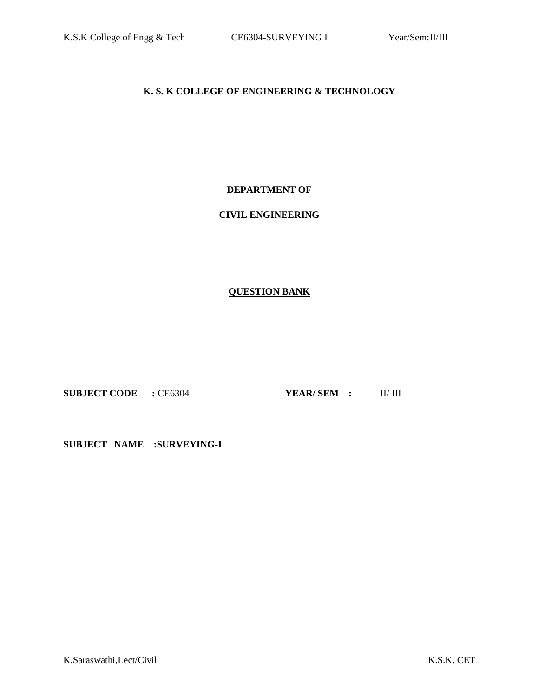## **K. S. K COLLEGE OF ENGINEERING & TECHNOLOGY**

#### **DEPARTMENT OF**

## **CIVIL ENGINEERING**

## **QUESTION BANK**

**SUBJECT CODE :** CE6304 **YEAR/ SEM :** II/ III

**SUBJECT NAME :SURVEYING-I**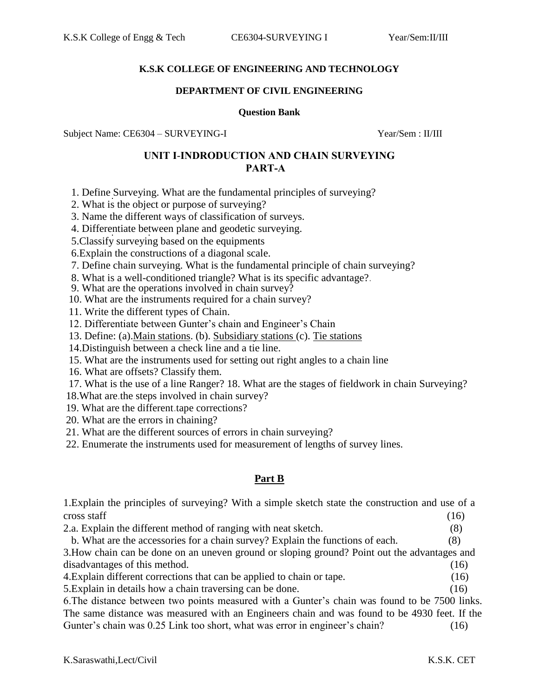#### **K.S.K COLLEGE OF ENGINEERING AND TECHNOLOGY**

#### **DEPARTMENT OF CIVIL ENGINEERING**

#### **Question Bank**

Subject Name: CE6304 – SURVEYING-I Year/Sem : II/III

## **UNIT I**-**INDRODUCTION AND CHAIN SURVEYING PART-A**

- 1. Define Surveying. What are the fundamental principles of surveying?
- 2. What is the object or purpose of surveying?
- 3. Name the different ways of classification of surveys.
- 4. Differentiate between plane and geodetic surveying.
- 5.Classify surveying based on the equipments
- 6.Explain the constructions of a diagonal scale.
- 7. Define chain surveying. What is the fundamental principle of chain surveying?
- 8. What is a well-conditioned triangle? What is its specific advantage?.
- 9. What are the operations involved in chain survey?
- 10. What are the instruments required for a chain survey?
- 11. Write the different types of Chain.
- 12. Differentiate between Gunter's chain and Engineer's Chain
- 13. Define: (a).Main stations. (b). Subsidiary stations (c). Tie stations
- 14.Distinguish between a check line and a tie line.
- 15. What are the instruments used for setting out right angles to a chain line
- 16. What are offsets? Classify them.
- 17. What is the use of a line Ranger? 18. What are the stages of fieldwork in chain Surveying?
- 18.What are.the steps involved in chain survey?
- 19. What are the different.tape corrections?
- 20. What are the errors in chaining?
- 21. What are the different sources of errors in chain surveying?
- 22. Enumerate the instruments used for measurement of lengths of survey lines.

## **Part B**

1.Explain the principles of surveying? With a simple sketch state the construction and use of a  $\csc$  staff (16)

| 2.a. Explain the different method of ranging with neat sketch.                               | (8)  |
|----------------------------------------------------------------------------------------------|------|
| b. What are the accessories for a chain survey? Explain the functions of each.               | (8)  |
| 3. How chain can be done on an uneven ground or sloping ground? Point out the advantages and |      |
| disadvantages of this method.                                                                | (16) |
|                                                                                              |      |

- 4.Explain different corrections that can be applied to chain or tape. (16)
- 5.Explain in details how a chain traversing can be done. (16)

6.The distance between two points measured with a Gunter's chain was found to be 7500 links. The same distance was measured with an Engineers chain and was found to be 4930 feet. If the Gunter's chain was 0.25 Link too short, what was error in engineer's chain? (16)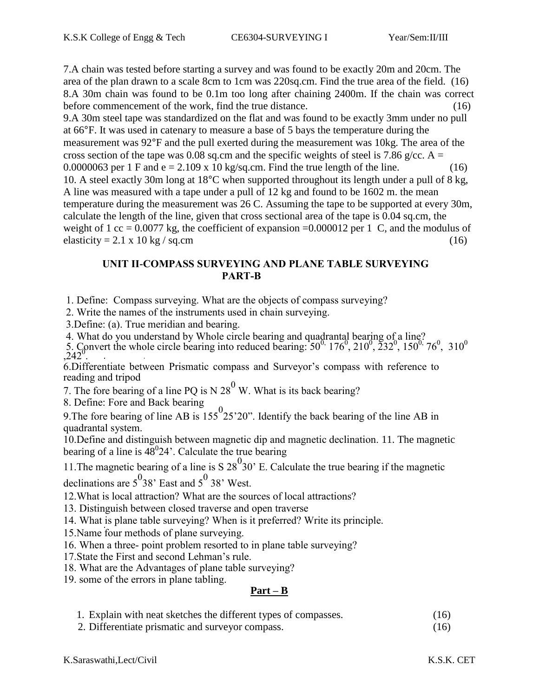7.A chain was tested before starting a survey and was found to be exactly 20m and 20cm. The area of the plan drawn to a scale 8cm to 1cm was 220sq.cm. Find the true area of the field. (16) 8.A 30m chain was found to be 0.1m too long after chaining 2400m. If the chain was correct before commencement of the work, find the true distance. (16) 9.A 30m steel tape was standardized on the flat and was found to be exactly 3mm under no pull at 66°F. It was used in catenary to measure a base of 5 bays the temperature during the measurement was 92°F and the pull exerted during the measurement was 10kg. The area of the cross section of the tape was 0.08 sq.cm and the specific weights of steel is 7.86 g/cc. A = 0.0000063 per 1 F and  $e = 2.109 \times 10 \text{ kg/sq.cm}$ . Find the true length of the line. (16) 10. A steel exactly 30m long at 18°C when supported throughout its length under a pull of 8 kg, A line was measured with a tape under a pull of 12 kg and found to be 1602 m. the mean temperature during the measurement was 26 C. Assuming the tape to be supported at every 30m, calculate the length of the line, given that cross sectional area of the tape is 0.04 sq.cm, the weight of 1 cc = 0.0077 kg, the coefficient of expansion = 0.000012 per 1 C, and the modulus of elasticity = 2.1 x 10 kg / sq.cm (16)

## **UNIT II-COMPASS SURVEYING AND PLANE TABLE SURVEYING PART-B**

1. Define: Compass surveying. What are the objects of compass surveying?

2. Write the names of the instruments used in chain surveying.

3.Define: (a). True meridian and bearing.

4. What do you understand by Whole circle bearing and quadrantal bearing of a line?

5. Convert the whole circle bearing into reduced bearing:  $50^{0}$ ,  $176^{0}$ ,  $210^{0}$ ,  $232^{0}$ ,  $150^{0}$ ,  $76^{0}$ ,  $310^{0}$  $242^\circ$ 

6.Differentiate between Prismatic compass and Surveyor's compass with reference to reading and tripod

7. The fore bearing of a line PQ is N  $28<sup>0</sup>$  W. What is its back bearing?

8. Define: Fore and Back bearing

9. Define: 1 see and back bearing  $9.55^{\circ}$  and  $155^{\circ}$  25'20". Identify the back bearing of the line AB in quadrantal system.

10.Define and distinguish between magnetic dip and magnetic declination. 11. The magnetic bearing of a line is  $48^{\circ}24'$ . Calculate the true bearing

11. The magnetic bearing of a line is  $S$  28<sup>0</sup>30' E. Calculate the true bearing if the magnetic declinations are  $5^0$ 38' East and  $5^0$  38' West.

12.What is local attraction? What are the sources of local attractions?

13. Distinguish between closed traverse and open traverse

14. What is plane table surveying? When is it preferred? Write its principle.

15.Name four methods of plane surveying.

16. When a three- point problem resorted to in plane table surveying?

17.State the First and second Lehman's rule.

18. What are the Advantages of plane table surveying?

19. some of the errors in plane tabling.

## **Part – B**

- 1. Explain with neat sketches the different types of compasses. (16)
- 2. Differentiate prismatic and surveyor compass. (16)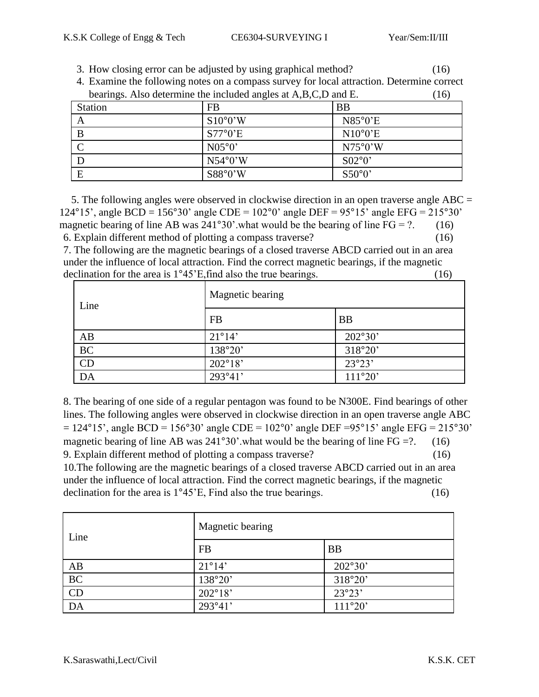3. How closing error can be adjusted by using graphical method? (16)

| 4. Examine the following notes on a compass survey for local attraction. Determine correct |                          |                  |  |  |
|--------------------------------------------------------------------------------------------|--------------------------|------------------|--|--|
| bearings. Also determine the included angles at A,B,C,D and E.                             | 16)                      |                  |  |  |
| <b>Station</b>                                                                             | FB                       | <b>BB</b>        |  |  |
|                                                                                            | $S10^{\circ}0^{\prime}W$ | $N85^{\circ}0'E$ |  |  |
|                                                                                            | $S77^{\circ}0'E$         | $N10^{\circ}0'E$ |  |  |
|                                                                                            | N05°0'                   | N75°0'W          |  |  |

 $N54°0'W$  S02°0' E  $S88°0'W$  S50°0'

4. Examine the following notes on a compass survey for local attraction. Determine correct

 5. The following angles were observed in clockwise direction in an open traverse angle ABC = 124°15', angle BCD = 156°30' angle CDE = 102°0' angle DEF = 95°15' angle EFG = 215°30' magnetic bearing of line AB was  $241^{\circ}30'$  what would be the bearing of line FG = ?. (16) 6. Explain different method of plotting a compass traverse? (16) 7. The following are the magnetic bearings of a closed traverse ABCD carried out in an area under the influence of local attraction. Find the correct magnetic bearings, if the magnetic

declination for the area is  $1^{\circ}45'E$ , find also the true bearings. (16) Magnetic bearing

| Line      | Magnetic bearing |           |
|-----------|------------------|-----------|
|           | <b>FB</b>        | <b>BB</b> |
| AB        | $21^{\circ}14'$  | 202°30'   |
| <b>BC</b> | 138°20'          | 318°20'   |
| CD        | $202^{\circ}18'$ | 23°23'    |
| DA        | 293°41'          | 111°20'   |

8. The bearing of one side of a regular pentagon was found to be N300E. Find bearings of other lines. The following angles were observed in clockwise direction in an open traverse angle ABC  $= 124^{\circ}15'$ , angle BCD = 156°30' angle CDE = 102°0' angle DEF = 95°15' angle EFG = 215°30' magnetic bearing of line AB was  $241^{\circ}30'$  what would be the bearing of line FG =?. (16) 9. Explain different method of plotting a compass traverse? (16) 10.The following are the magnetic bearings of a closed traverse ABCD carried out in an area under the influence of local attraction. Find the correct magnetic bearings, if the magnetic declination for the area is  $1^{\circ}45^{\circ}$ E, Find also the true bearings. (16)

| Line | Magnetic bearing |           |
|------|------------------|-----------|
|      | <b>FB</b>        | <b>BB</b> |
| AB   | $21^{\circ}14'$  | 202°30'   |
| BC   | 138°20'          | 318°20'   |
| CD   | $202^{\circ}18'$ | 23°23'    |
| DA   | 293°41'          | 111°20'   |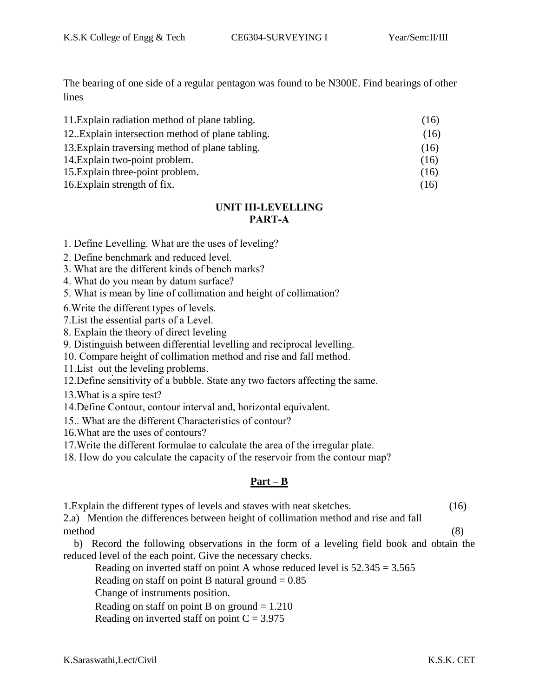The bearing of one side of a regular pentagon was found to be N300E. Find bearings of other lines

| 11. Explain radiation method of plane tabling.    | (16) |
|---------------------------------------------------|------|
| 12. Explain intersection method of plane tabling. | (16) |
| 13. Explain traversing method of plane tabling.   | (16) |
| 14. Explain two-point problem.                    | (16) |
| 15. Explain three-point problem.                  | (16) |
| 16. Explain strength of fix.                      | (16) |

# **UNIT III-LEVELLING PART-A**

1. Define Levelling. What are the uses of leveling?

2. Define benchmark and reduced level.

3. What are the different kinds of bench marks?

4. What do you mean by datum surface?

5. What is mean by line of collimation and height of collimation?

6.Write the different types of levels.

7.List the essential parts of a Level.

8. Explain the theory of direct leveling

9. Distinguish between differential levelling and reciprocal levelling.

10. Compare height of collimation method and rise and fall method.

11.List out the leveling problems.

12.Define sensitivity of a bubble. State any two factors affecting the same.

13.What is a spire test?

14.Define Contour, contour interval and, horizontal equivalent.

15.. What are the different Characteristics of contour?

16.What are the uses of contours?

17.Write the different formulae to calculate the area of the irregular plate.

18. How do you calculate the capacity of the reservoir from the contour map?

# **Part – B**

1.Explain the different types of levels and staves with neat sketches. (16)

2.a) Mention the differences between height of collimation method and rise and fall method (8)

 b) Record the following observations in the form of a leveling field book and obtain the reduced level of the each point. Give the necessary checks.

Reading on inverted staff on point A whose reduced level is  $52.345 = 3.565$ 

Reading on staff on point B natural ground  $= 0.85$ 

Change of instruments position.

Reading on staff on point B on ground  $= 1.210$ 

Reading on inverted staff on point  $C = 3.975$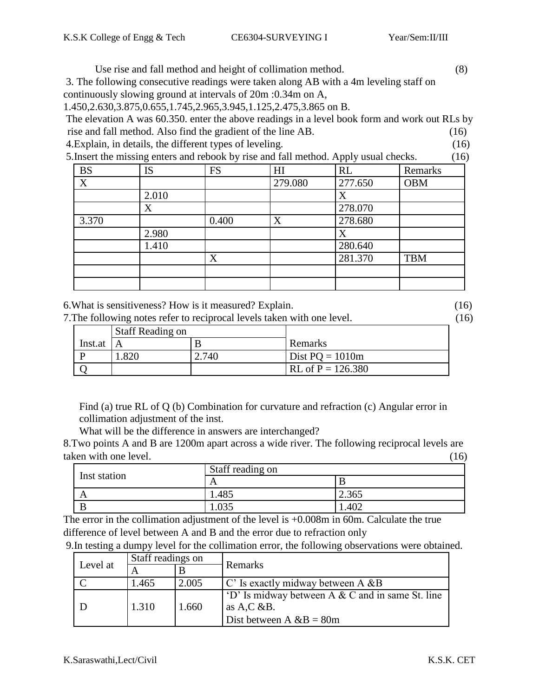Use rise and fall method and height of collimation method. (8)

3. The following consecutive readings were taken along AB with a 4m leveling staff on continuously slowing ground at intervals of 20m :0.34m on A,

1.450,2.630,3.875,0.655,1.745,2.965,3.945,1.125,2.475,3.865 on B.

The elevation A was 60.350. enter the above readings in a level book form and work out RLs by rise and fall method. Also find the gradient of the line AB. (16) 4.Explain, in details, the different types of leveling. (16)

5.Insert the missing enters and rebook by rise and fall method. Apply usual checks. (16)

| <b>BS</b> | <b>IS</b> | <b>FS</b> | HI      | RL      | Remarks    |
|-----------|-----------|-----------|---------|---------|------------|
| X         |           |           | 279.080 | 277.650 | <b>OBM</b> |
|           | 2.010     |           |         | X       |            |
|           | X         |           |         | 278.070 |            |
| 3.370     |           | 0.400     | X       | 278.680 |            |
|           | 2.980     |           |         |         |            |
|           | 1.410     |           |         | 280.640 |            |
|           |           | X         |         | 281.370 | <b>TBM</b> |
|           |           |           |         |         |            |
|           |           |           |         |         |            |

6.What is sensitiveness? How is it measured? Explain. (16)

7.The following notes refer to reciprocal levels taken with one level. (16)

|         | <b>Staff Reading on</b> |       |                     |
|---------|-------------------------|-------|---------------------|
| Inst.at |                         |       | Remarks             |
|         | .820                    | 2.740 | Dist $PQ = 1010m$   |
|         |                         |       | $RL of P = 126.380$ |

Find (a) true RL of Q (b) Combination for curvature and refraction (c) Angular error in collimation adjustment of the inst.

What will be the difference in answers are interchanged?

8.Two points A and B are 1200m apart across a wide river. The following reciprocal levels are taken with one level. (16) (16)

|              | Staff reading on |       |
|--------------|------------------|-------|
| Inst station | A                |       |
|              | 1.485            | 2.365 |
|              |                  | .402  |

The error in the collimation adjustment of the level is  $+0.008$ m in 60m. Calculate the true difference of level between A and B and the error due to refraction only

| 9. In testing a dumpy level for the collimation error, the following observations were obtained. |  |
|--------------------------------------------------------------------------------------------------|--|
|--------------------------------------------------------------------------------------------------|--|

|          | Staff readings on |       |                                                          |
|----------|-------------------|-------|----------------------------------------------------------|
| Level at |                   |       | Remarks                                                  |
|          | 1.465             | 2.005 | $\mathcal{C}'$ Is exactly midway between A &B            |
|          |                   |       | $\vert$ 'D' Is midway between A & C and in same St. line |
|          | 1.310             | 1.660 | as $A, C \& B$ .                                         |
|          |                   |       | Dist between A $\&B = 80m$                               |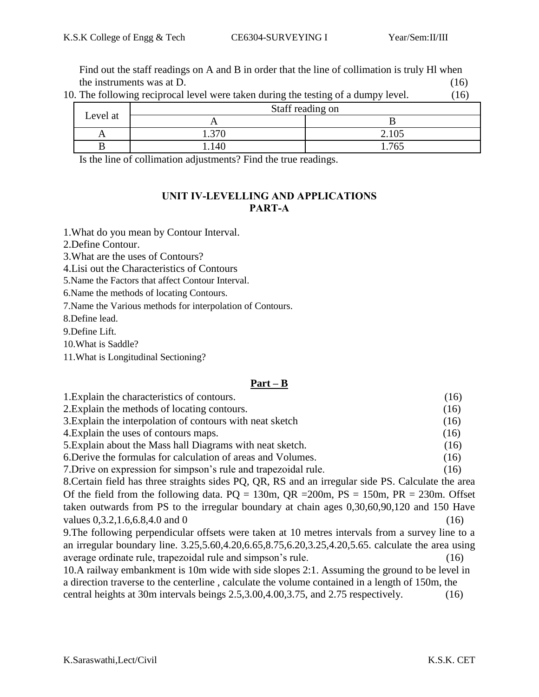Find out the staff readings on A and B in order that the line of collimation is truly Hl when the instruments was at D.  $(16)$ 

|  | 10. The following reciprocal level were taken during the testing of a dumpy level. | (16) |
|--|------------------------------------------------------------------------------------|------|
|  |                                                                                    |      |

|          | Staff reading on |       |
|----------|------------------|-------|
| Level at |                  |       |
|          | 370              | 2.105 |
|          | 140              | 765   |

Is the line of collimation adjustments? Find the true readings.

## **UNIT IV-LEVELLING AND APPLICATIONS PART-A**

1.What do you mean by Contour Interval.

2.Define Contour.

3.What are the uses of Contours?

4.Lisi out the Characteristics of Contours

5.Name the Factors that affect Contour Interval.

6.Name the methods of locating Contours.

7.Name the Various methods for interpolation of Contours.

8.Define lead.

9.Define Lift.

10.What is Saddle?

11.What is Longitudinal Sectioning?

## **Part – B**

| 1. Explain the characteristics of contours.                                                          | (16) |
|------------------------------------------------------------------------------------------------------|------|
| 2. Explain the methods of locating contours.                                                         | (16) |
| 3. Explain the interpolation of contours with neat sketch                                            | (16) |
| 4. Explain the uses of contours maps.                                                                | (16) |
| 5. Explain about the Mass hall Diagrams with neat sketch.                                            | (16) |
| 6. Derive the formulas for calculation of areas and Volumes.                                         | (16) |
| 7. Drive on expression for simpson's rule and trapezoidal rule.                                      | (16) |
| 8. Certain field has three straights sides PQ, QR, RS and an irregular side PS. Calculate the area   |      |
| Of the field from the following data. $PQ = 130m$ , $QR = 200m$ , $PS = 150m$ , $PR = 230m$ . Offset |      |
| taken outwards from PS to the irregular boundary at chain ages 0,30,60,90,120 and 150 Have           |      |
| values 0,3.2,1.6,6.8,4.0 and 0                                                                       | (16) |
| 9. The following perpendicular offsets were taken at 10 metres intervals from a survey line to a     |      |
| an irregular boundary line. 3.25,5.60,4.20,6.65,8.75,6.20,3.25,4.20,5.65. calculate the area using   |      |
| average ordinate rule, trapezoidal rule and simpson's rule.                                          | (16) |
| 10.A railway embankment is 10m wide with side slopes 2:1. Assuming the ground to be level in         |      |
| a direction traverse to the centerline, calculate the volume contained in a length of 150m, the      |      |
| central heights at 30m intervals beings 2.5,3.00,4.00,3.75, and 2.75 respectively.                   | (16) |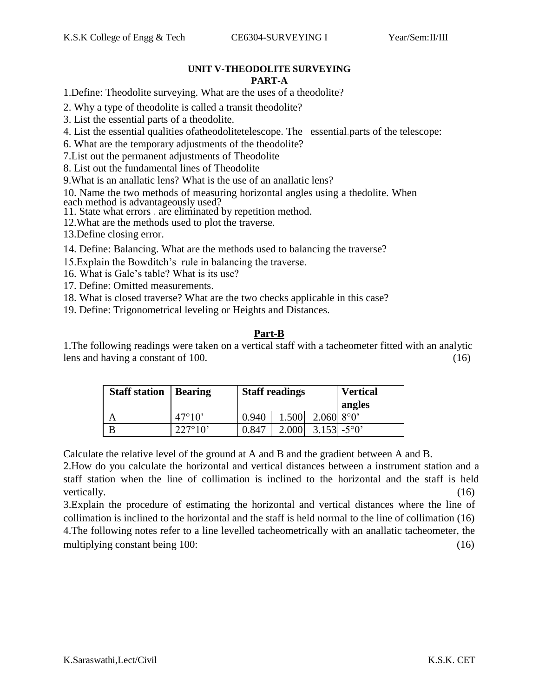#### **UNIT V-THEODOLITE SURVEYING PART-A**

1.Define: Theodolite surveying. What are the uses of a theodolite?

- 2. Why a type of theodolite is called a transit theodolite?
- 3. List the essential parts of a theodolite.
- 4. List the essential qualities ofatheodolitetelescope. The essential.parts of the telescope:
- 6. What are the temporary adjustments of the theodolite?
- 7.List out the permanent adjustments of Theodolite
- 8. List out the fundamental lines of Theodolite
- 9.What is an anallatic lens? What is the use of an anallatic lens?

10. Name the two methods of measuring horizontal angles using a thedolite. When each method is advantageously used?

- 11. State what errors . are eliminated by repetition method.
- 12.What are the methods used to plot the traverse.
- 13.Define closing error.
- 14. Define: Balancing. What are the methods used to balancing the traverse?
- 15.Explain the Bowditch's rule in balancing the traverse.
- 16. What is Gale's table? What is its use?
- 17. Define: Omitted measurements.
- 18. What is closed traverse? What are the two checks applicable in this case?
- 19. Define: Trigonometrical leveling or Heights and Distances.

## **Part-B**

1.The following readings were taken on a vertical staff with a tacheometer fitted with an analytic lens and having a constant of 100. (16)

| <b>Staff station</b>   Bearing |                  | <b>Staff readings</b> |       |                       | <b>Vertical</b> |
|--------------------------------|------------------|-----------------------|-------|-----------------------|-----------------|
|                                |                  |                       |       |                       | angles          |
| A                              | $47^{\circ}10'$  | 0.940                 | 1.500 | $2.0608^{\circ}0'$    |                 |
| B                              | $227^{\circ}10'$ | 0.847                 | 2.000 | $3.153 - 5^{\circ}0'$ |                 |

Calculate the relative level of the ground at A and B and the gradient between A and B.

2.How do you calculate the horizontal and vertical distances between a instrument station and a staff station when the line of collimation is inclined to the horizontal and the staff is held vertically. (16)

3.Explain the procedure of estimating the horizontal and vertical distances where the line of collimation is inclined to the horizontal and the staff is held normal to the line of collimation (16) 4.The following notes refer to a line levelled tacheometrically with an anallatic tacheometer, the multiplying constant being 100: (16) (16)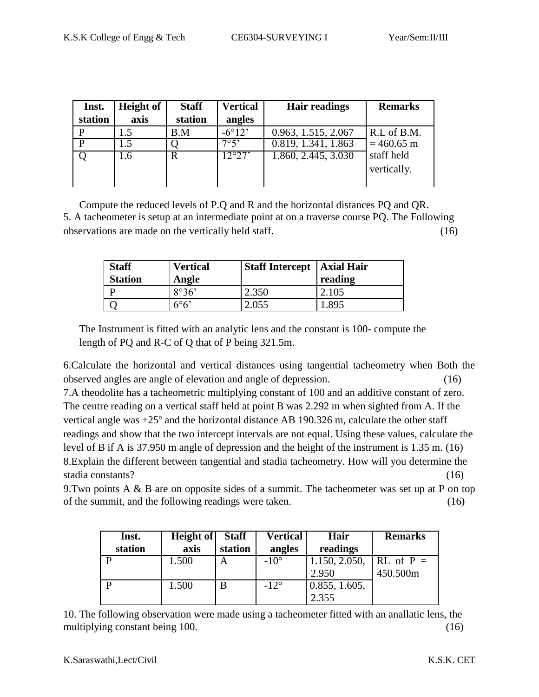| Inst.   | <b>Height of</b> | <b>Staff</b> | <b>Vertical</b> | <b>Hair readings</b> | <b>Remarks</b> |
|---------|------------------|--------------|-----------------|----------------------|----------------|
| station | axis             | station      | angles          |                      |                |
|         |                  | B.M          | $-6^{\circ}12'$ | 0.963, 1.515, 2.067  | R.L of B.M.    |
|         | 1.5              |              | 7°5'            | 0.819, 1.341, 1.863  | $= 460.65$ m   |
|         | 1.6              | R            | 12°27'          | 1.860, 2.445, 3.030  | staff held     |
|         |                  |              |                 |                      | vertically.    |
|         |                  |              |                 |                      |                |

Compute the reduced levels of P.Q and R and the horizontal distances PQ and QR. 5. A tacheometer is setup at an intermediate point at on a traverse course PQ. The Following observations are made on the vertically held staff. (16)

| <b>Staff</b><br><b>Station</b> | <b>Vertical</b><br>Angle | <b>Staff Intercept   Axial Hair</b> | reading |
|--------------------------------|--------------------------|-------------------------------------|---------|
|                                | 8°36'                    | 2.350                               | 2.105   |
|                                | $6^{\circ}6'$            | 2.055                               | .895    |

The Instrument is fitted with an analytic lens and the constant is 100- compute the length of PQ and R-C of Q that of P being 321.5m.

6.Calculate the horizontal and vertical distances using tangential tacheometry when Both the observed angles are angle of elevation and angle of depression. (16)

7.A theodolite has a tacheometric multiplying constant of 100 and an additive constant of zero. The centre reading on a vertical staff held at point B was 2.292 m when sighted from A. If the vertical angle was +25º and the horizontal distance AB 190.326 m, calculate the other staff readings and show that the two intercept intervals are not equal. Using these values, calculate the level of B if A is 37.950 m angle of depression and the height of the instrument is 1.35 m. (16) 8.Explain the different between tangential and stadia tacheometry. How will you determine the stadia constants? (16)

9.Two points A & B are on opposite sides of a summit. The tacheometer was set up at P on top of the summit, and the following readings were taken. (16)

| Inst.   | Height of | <b>Staff</b> | <b>Vertical</b> | Hair          | <b>Remarks</b> |
|---------|-----------|--------------|-----------------|---------------|----------------|
| station | axis      | station      | angles          | readings      |                |
|         | 1.500     | A            | $-10^{\circ}$   | 1.150, 2.050, | $RL$ of $P =$  |
|         |           |              |                 | 2.950         | 450.500m       |
|         | 1.500     | B            | $-12^{\circ}$   | 0.855, 1.605, |                |
|         |           |              |                 | 2.355         |                |

10. The following observation were made using a tacheometer fitted with an anallatic lens, the multiplying constant being 100. (16)